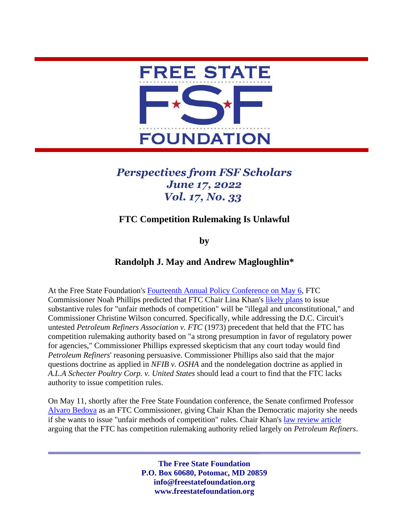

## *Perspectives from FSF Scholars June 17, 2022 Vol. 17, No. 33*

## **FTC Competition Rulemaking Is Unlawful**

**by** 

## **Randolph J. May and Andrew Magloughlin\***

At the Free State Foundation's [Fourteenth Annual Policy Conference](https://www.youtube.com/watch?v=xDNwdUKrw5Q&t=2641s) on May 6, FTC Commissioner Noah Phillips predicted that FTC Chair Lina Khan's [likely plans](https://www.ftc.gov/system/files/documents/public_statements/1568663/rohit_chopra_and_lina_m_khan_the_case_for_unfair_methods_of_competition_rulemaking.pdf) to issue substantive rules for "unfair methods of competition" will be "illegal and unconstitutional," and Commissioner Christine Wilson concurred. Specifically, while addressing the D.C. Circuit's untested *Petroleum Refiners Association v. FTC* (1973) precedent that held that the FTC has competition rulemaking authority based on "a strong presumption in favor of regulatory power for agencies," Commissioner Phillips expressed skepticism that any court today would find *Petroleum Refiners*' reasoning persuasive. Commissioner Phillips also said that the major questions doctrine as applied in *NFIB v. OSHA* and the nondelegation doctrine as applied in *A.L.A Schecter Poultry Corp. v. United States* should lead a court to find that the FTC lacks authority to issue competition rules.

On May 11, shortly after the Free State Foundation conference, the Senate confirmed Professor [Alvaro Bedoya](https://www.law.georgetown.edu/faculty/alvaro-bedoya/) as an FTC Commissioner, giving Chair Khan the Democratic majority she needs if she wants to issue "unfair methods of competition" rules. Chair Khan's [law review article](https://www.ftc.gov/system/files/documents/public_statements/1568663/rohit_chopra_and_lina_m_khan_the_case_for_unfair_methods_of_competition_rulemaking.pdf) arguing that the FTC has competition rulemaking authority relied largely on *Petroleum Refiners*.

> **The Free State Foundation P.O. Box 60680, Potomac, MD 20859 info@freestatefoundation.org www.freestatefoundation.org**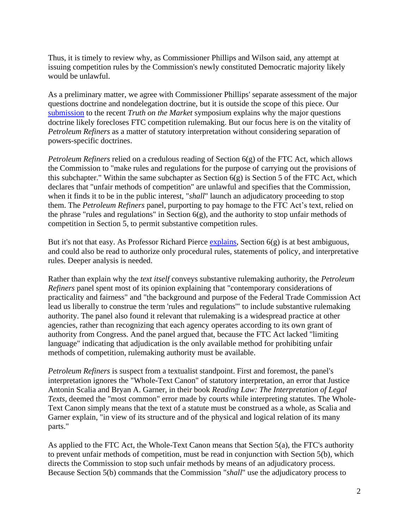Thus, it is timely to review why, as Commissioner Phillips and Wilson said, any attempt at issuing competition rules by the Commission's newly constituted Democratic majority likely would be unlawful.

As a preliminary matter, we agree with Commissioner Phillips' separate assessment of the major questions doctrine and nondelegation doctrine, but it is outside the scope of this piece. Our [submission](https://truthonthemarket.com/2022/04/28/the-major-questions-doctrine-slams-the-door-shut-on-umc-rulemaking/) to the recent *Truth on the Market* symposium explains why the major questions doctrine likely forecloses FTC competition rulemaking. But our focus here is on the vitality of *Petroleum Refiners* as a matter of statutory interpretation without considering separation of powers-specific doctrines.

*Petroleum Refiners* relied on a credulous reading of Section 6(g) of the FTC Act, which allows the Commission to "make rules and regulations for the purpose of carrying out the provisions of this subchapter." Within the same subchapter as Section  $6(g)$  is Section 5 of the FTC Act, which declares that "unfair methods of competition" are unlawful and specifies that the Commission, when it finds it to be in the public interest, "*shall*" launch an adjudicatory proceeding to stop them. The *Petroleum Refiners* panel, purporting to pay homage to the FTC Act's text, relied on the phrase "rules and regulations" in Section  $6(g)$ , and the authority to stop unfair methods of competition in Section 5, to permit substantive competition rules.

But it's not that easy. As Professor Richard Pierce [explains,](https://papers.ssrn.com/sol3/papers.cfm?abstract_id=3933921#:~:text=The%20FTC%20can%20use%20rulemaking,%2C%20policy%20statements%2C%20and%20adjudication) Section 6(g) is at best ambiguous, and could also be read to authorize only procedural rules, statements of policy, and interpretative rules. Deeper analysis is needed.

Rather than explain why the *text itself* conveys substantive rulemaking authority, the *Petroleum Refiners* panel spent most of its opinion explaining that "contemporary considerations of practicality and fairness" and "the background and purpose of the Federal Trade Commission Act lead us liberally to construe the term 'rules and regulations'" to include substantive rulemaking authority. The panel also found it relevant that rulemaking is a widespread practice at other agencies, rather than recognizing that each agency operates according to its own grant of authority from Congress. And the panel argued that, because the FTC Act lacked "limiting language" indicating that adjudication is the only available method for prohibiting unfair methods of competition, rulemaking authority must be available.

*Petroleum Refiners* is suspect from a textualist standpoint. First and foremost, the panel's interpretation ignores the "Whole-Text Canon" of statutory interpretation, an error that Justice Antonin Scalia and Bryan A. Garner, in their book *Reading Law: The Interpretation of Legal Texts,* deemed the "most common" error made by courts while interpreting statutes. The Whole-Text Canon simply means that the text of a statute must be construed as a whole, as Scalia and Garner explain, "in view of its structure and of the physical and logical relation of its many parts."

As applied to the FTC Act, the Whole-Text Canon means that Section 5(a), the FTC's authority to prevent unfair methods of competition, must be read in conjunction with Section 5(b), which directs the Commission to stop such unfair methods by means of an adjudicatory process. Because Section 5(b) commands that the Commission "*shall*" use the adjudicatory process to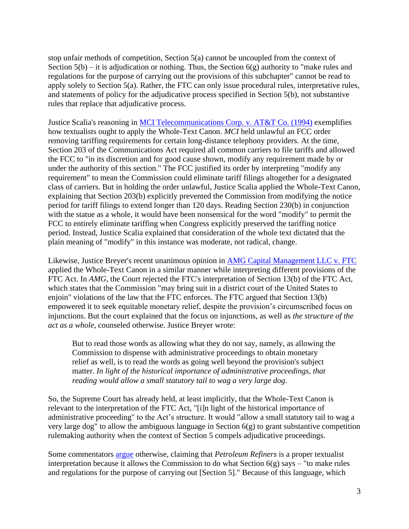stop unfair methods of competition, Section 5(a) cannot be uncoupled from the context of Section  $5(b)$  – it is adjudication or nothing. Thus, the Section  $6(g)$  authority to "make rules and regulations for the purpose of carrying out the provisions of this subchapter" cannot be read to apply solely to Section 5(a). Rather, the FTC can only issue procedural rules, interpretative rules, and statements of policy for the adjudicative process specified in Section 5(b), not substantive rules that replace that adjudicative process.

Justice Scalia's reasoning in [MCI Telecommunications Corp. v. AT&T Co.](https://supreme.justia.com/cases/federal/us/512/218/) (1994) exemplifies how textualists ought to apply the Whole-Text Canon. *MCI* held unlawful an FCC order removing tariffing requirements for certain long-distance telephony providers. At the time, Section 203 of the Communications Act required all common carriers to file tariffs and allowed the FCC to "in its discretion and for good cause shown, modify any requirement made by or under the authority of this section." The FCC justified its order by interpreting "modify any requirement" to mean the Commission could eliminate tariff filings altogether for a designated class of carriers. But in holding the order unlawful, Justice Scalia applied the Whole-Text Canon, explaining that Section 203(b) explicitly prevented the Commission from modifying the notice period for tariff filings to extend longer than 120 days. Reading Section 230(b) in conjunction with the statue as a whole, it would have been nonsensical for the word "modify" to permit the FCC to entirely eliminate tariffing when Congress explicitly preserved the tariffing notice period. Instead, Justice Scalia explained that consideration of the whole text dictated that the plain meaning of "modify" in this instance was moderate, not radical, change.

Likewise, Justice Breyer's recent unanimous opinion in [AMG Capital Management LLC v. FTC](https://casetext.com/case/amg-capital-mgmt-v-fed-trade-commn?resultsNav=false&jxs=us,1cir,2cir,3cir,4cir,5cir,6cir,7cir,8cir,9cir,10cir,11cir,dccir,fedcir,alsct,aksct,azsct,arsct,casct,cosct,ctsct,desct,dcapp,flsct,gasct,gu,hisct,idsct,ilsct,insct,iasct,kssct,kysct,lasct,mesct,mdapp,masct,misct,mnsct,mssct,mosct,mtsct,nesct,nvsct,nhsct,njsct,nmsct,nyapp,nysupct,ncsct,ndsct,cnmi,ohsct,oksct,orsct,pasct,risct,scsct,sdsct,tnsct,txsct,txappcrim,utsct,vtsct,vasct,wasct,wvsct,wisct,wysct&tab=keyword) applied the Whole-Text Canon in a similar manner while interpreting different provisions of the FTC Act. In *AMG*, the Court rejected the FTC's interpretation of Section 13(b) of the FTC Act, which states that the Commission "may bring suit in a district court of the United States to enjoin" violations of the law that the FTC enforces. The FTC argued that Section 13(b) empowered it to seek equitable monetary relief, despite the provision's circumscribed focus on injunctions. But the court explained that the focus on injunctions, as well as *the structure of the act as a whole*, counseled otherwise. Justice Breyer wrote:

But to read those words as allowing what they do not say, namely, as allowing the Commission to dispense with administrative proceedings to obtain monetary relief as well, is to read the words as going well beyond the provision's subject matter. *In light of the historical importance of administrative proceedings, that reading would allow a small statutory tail to wag a very large dog*.

So, the Supreme Court has already held, at least implicitly, that the Whole-Text Canon is relevant to the interpretation of the FTC Act, "[i]n light of the historical importance of administrative proceeding" to the Act's structure. It would "allow a small statutory tail to wag a very large dog" to allow the ambiguous language in Section 6(g) to grant substantive competition rulemaking authority when the context of Section 5 compels adjudicative proceedings.

Some commentators [argue](https://www.yalejreg.com/nc/national-petroleum-refiners-is-still-correctly-decided-by-kacyn-h-fujii/) otherwise, claiming that *Petroleum Refiners* is a proper textualist interpretation because it allows the Commission to do what Section  $6(g)$  says – "to make rules and regulations for the purpose of carrying out [Section 5]." Because of this language, which